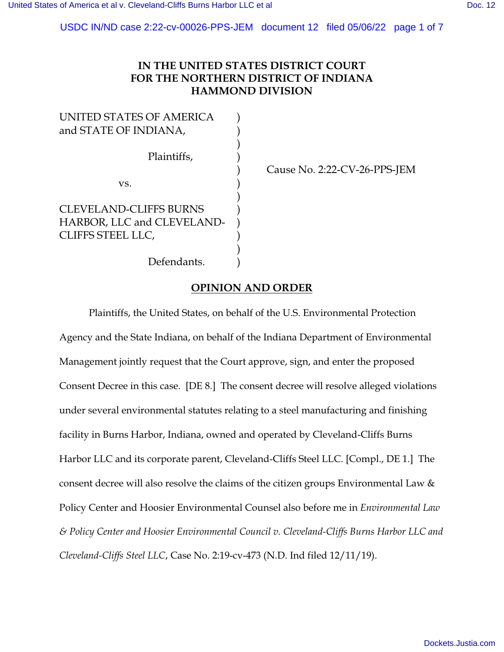USDC IN/ND case 2:22-cv-00026-PPS-JEM document 12 filed 05/06/22 page 1 of 7

# **IN THE UNITED STATES DISTRICT COURT FOR THE NORTHERN DISTRICT OF INDIANA HAMMOND DIVISION**

| UNITED STATES OF AMERICA<br>and STATE OF INDIANA,                                |  |
|----------------------------------------------------------------------------------|--|
| Plaintiffs,                                                                      |  |
| VS.                                                                              |  |
| <b>CLEVELAND-CLIFFS BURNS</b><br>HARBOR, LLC and CLEVELAND-<br>CLIFFS STEEL LLC, |  |

) Cause No. 2:22-CV-26-PPS-JEM

Defendants.

## **OPINION AND ORDER**

Plaintiffs, the United States, on behalf of the U.S. Environmental Protection Agency and the State Indiana, on behalf of the Indiana Department of Environmental Management jointly request that the Court approve, sign, and enter the proposed Consent Decree in this case. [DE 8.] The consent decree will resolve alleged violations under several environmental statutes relating to a steel manufacturing and finishing facility in Burns Harbor, Indiana, owned and operated by Cleveland-Cliffs Burns Harbor LLC and its corporate parent, Cleveland-Cliffs Steel LLC. [Compl., DE 1.] The consent decree will also resolve the claims of the citizen groups Environmental Law & Policy Center and Hoosier Environmental Counsel also before me in *Environmental Law & Policy Center and Hoosier Environmental Council v. Cleveland-Cliffs Burns Harbor LLC and Cleveland-Cliffs Steel LLC*, Case No. 2:19-cv-473 (N.D. Ind filed 12/11/19).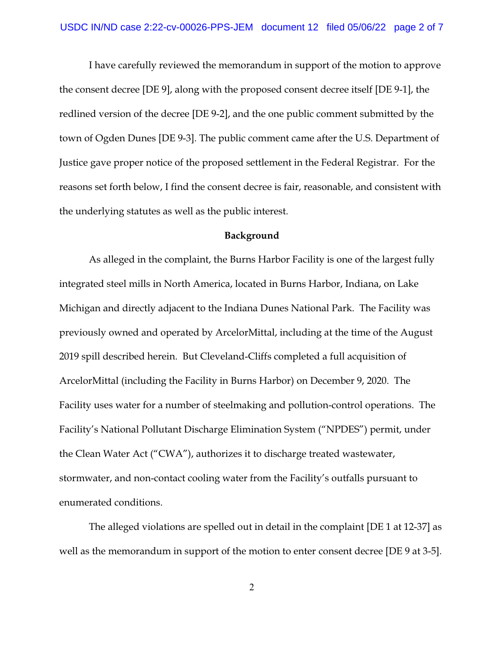I have carefully reviewed the memorandum in support of the motion to approve the consent decree [DE 9], along with the proposed consent decree itself [DE 9-1], the redlined version of the decree [DE 9-2], and the one public comment submitted by the town of Ogden Dunes [DE 9-3]. The public comment came after the U.S. Department of Justice gave proper notice of the proposed settlement in the Federal Registrar. For the reasons set forth below, I find the consent decree is fair, reasonable, and consistent with the underlying statutes as well as the public interest.

#### **Background**

As alleged in the complaint, the Burns Harbor Facility is one of the largest fully integrated steel mills in North America, located in Burns Harbor, Indiana, on Lake Michigan and directly adjacent to the Indiana Dunes National Park. The Facility was previously owned and operated by ArcelorMittal, including at the time of the August 2019 spill described herein. But Cleveland-Cliffs completed a full acquisition of ArcelorMittal (including the Facility in Burns Harbor) on December 9, 2020. The Facility uses water for a number of steelmaking and pollution-control operations. The Facility's National Pollutant Discharge Elimination System ("NPDES") permit, under the Clean Water Act ("CWA"), authorizes it to discharge treated wastewater, stormwater, and non-contact cooling water from the Facility's outfalls pursuant to enumerated conditions.

The alleged violations are spelled out in detail in the complaint [DE 1 at 12-37] as well as the memorandum in support of the motion to enter consent decree [DE 9 at 3-5].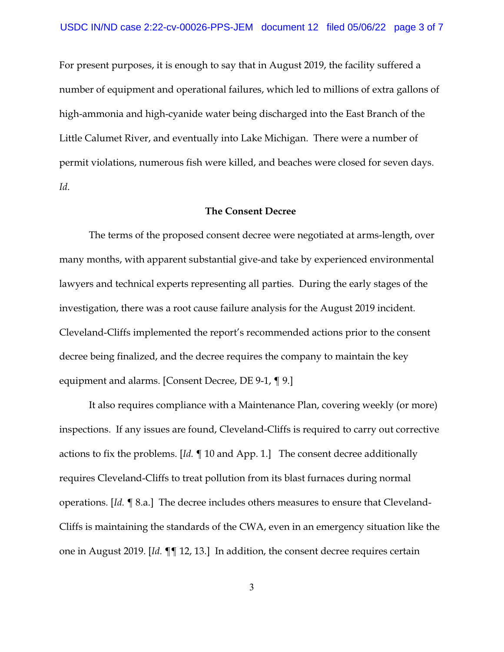For present purposes, it is enough to say that in August 2019, the facility suffered a number of equipment and operational failures, which led to millions of extra gallons of high-ammonia and high-cyanide water being discharged into the East Branch of the Little Calumet River, and eventually into Lake Michigan. There were a number of permit violations, numerous fish were killed, and beaches were closed for seven days. *Id*.

#### **The Consent Decree**

The terms of the proposed consent decree were negotiated at arms-length, over many months, with apparent substantial give-and take by experienced environmental lawyers and technical experts representing all parties. During the early stages of the investigation, there was a root cause failure analysis for the August 2019 incident. Cleveland-Cliffs implemented the report's recommended actions prior to the consent decree being finalized, and the decree requires the company to maintain the key equipment and alarms. [Consent Decree, DE 9-1, ¶ 9.]

It also requires compliance with a Maintenance Plan, covering weekly (or more) inspections. If any issues are found, Cleveland-Cliffs is required to carry out corrective actions to fix the problems. [*Id.* ¶ 10 and App. 1.] The consent decree additionally requires Cleveland-Cliffs to treat pollution from its blast furnaces during normal operations. [*Id.* ¶ 8.a.] The decree includes others measures to ensure that Cleveland-Cliffs is maintaining the standards of the CWA, even in an emergency situation like the one in August 2019. [*Id.* ¶¶ 12, 13.] In addition, the consent decree requires certain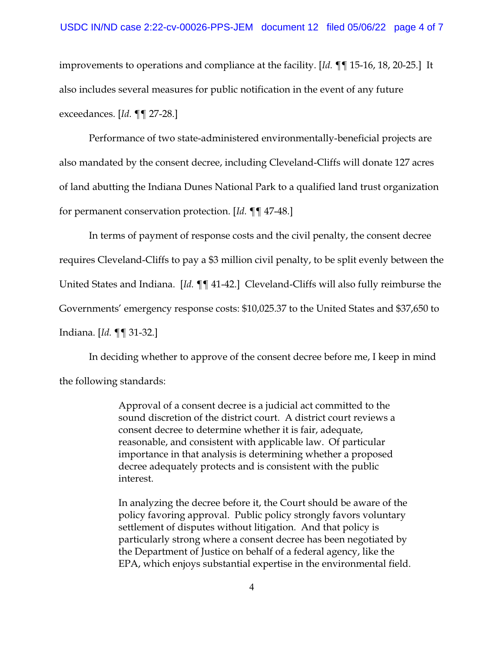improvements to operations and compliance at the facility. [*Id.* ¶¶ 15-16, 18, 20-25.] It also includes several measures for public notification in the event of any future exceedances. [*Id.* ¶¶ 27-28.]

Performance of two state-administered environmentally-beneficial projects are also mandated by the consent decree, including Cleveland-Cliffs will donate 127 acres of land abutting the Indiana Dunes National Park to a qualified land trust organization for permanent conservation protection. [*Id.* ¶¶ 47-48.]

In terms of payment of response costs and the civil penalty, the consent decree requires Cleveland-Cliffs to pay a \$3 million civil penalty, to be split evenly between the United States and Indiana. [*Id.* ¶¶ 41-42.] Cleveland-Cliffs will also fully reimburse the Governments' emergency response costs: \$10,025.37 to the United States and \$37,650 to Indiana. [*Id.* ¶¶ 31-32.]

In deciding whether to approve of the consent decree before me, I keep in mind the following standards:

> Approval of a consent decree is a judicial act committed to the sound discretion of the district court. A district court reviews a consent decree to determine whether it is fair, adequate, reasonable, and consistent with applicable law. Of particular importance in that analysis is determining whether a proposed decree adequately protects and is consistent with the public interest.

In analyzing the decree before it, the Court should be aware of the policy favoring approval. Public policy strongly favors voluntary settlement of disputes without litigation. And that policy is particularly strong where a consent decree has been negotiated by the Department of Justice on behalf of a federal agency, like the EPA, which enjoys substantial expertise in the environmental field.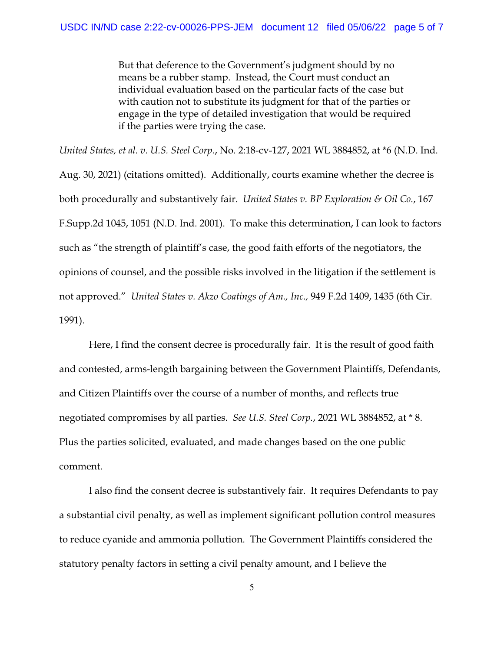But that deference to the Government's judgment should by no means be a rubber stamp. Instead, the Court must conduct an individual evaluation based on the particular facts of the case but with caution not to substitute its judgment for that of the parties or engage in the type of detailed investigation that would be required if the parties were trying the case.

*United States, et al. v. U.S. Steel Corp.*, No. 2:18-cv-127, 2021 WL 3884852, at \*6 (N.D. Ind. Aug. 30, 2021) (citations omitted). Additionally, courts examine whether the decree is both procedurally and substantively fair. *United States v. BP Exploration & Oil Co.*, 167 F.Supp.2d 1045, 1051 (N.D. Ind. 2001). To make this determination, I can look to factors such as "the strength of plaintiff's case, the good faith efforts of the negotiators, the opinions of counsel, and the possible risks involved in the litigation if the settlement is not approved." *United States v. Akzo Coatings of Am., Inc.,* 949 F.2d 1409, 1435 (6th Cir. 1991).

Here, I find the consent decree is procedurally fair. It is the result of good faith and contested, arms-length bargaining between the Government Plaintiffs, Defendants, and Citizen Plaintiffs over the course of a number of months, and reflects true negotiated compromises by all parties*. See U.S. Steel Corp.*, 2021 WL 3884852, at \* 8. Plus the parties solicited, evaluated, and made changes based on the one public comment.

I also find the consent decree is substantively fair. It requires Defendants to pay a substantial civil penalty, as well as implement significant pollution control measures to reduce cyanide and ammonia pollution. The Government Plaintiffs considered the statutory penalty factors in setting a civil penalty amount, and I believe the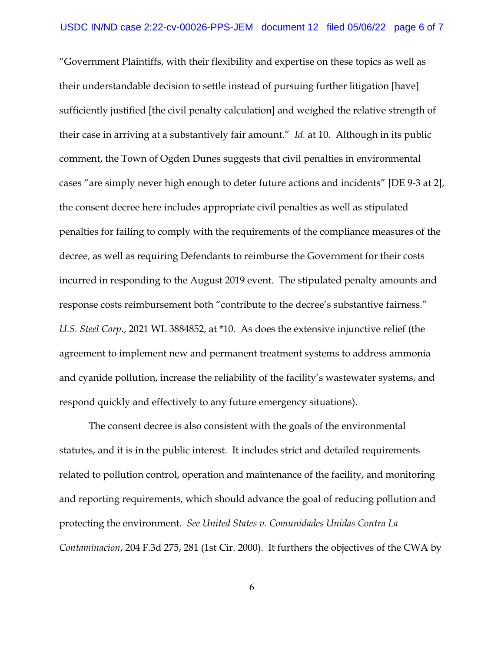"Government Plaintiffs, with their flexibility and expertise on these topics as well as their understandable decision to settle instead of pursuing further litigation [have] sufficiently justified [the civil penalty calculation] and weighed the relative strength of their case in arriving at a substantively fair amount." *Id.* at 10. Although in its public comment, the Town of Ogden Dunes suggests that civil penalties in environmental cases "are simply never high enough to deter future actions and incidents" [DE 9-3 at 2], the consent decree here includes appropriate civil penalties as well as stipulated penalties for failing to comply with the requirements of the compliance measures of the decree, as well as requiring Defendants to reimburse the Government for their costs incurred in responding to the August 2019 event. The stipulated penalty amounts and response costs reimbursement both "contribute to the decree's substantive fairness." *U.S. Steel Corp*., 2021 WL 3884852, at \*10. As does the extensive injunctive relief (the agreement to implement new and permanent treatment systems to address ammonia and cyanide pollution, increase the reliability of the facility's wastewater systems, and respond quickly and effectively to any future emergency situations).

The consent decree is also consistent with the goals of the environmental statutes, and it is in the public interest. It includes strict and detailed requirements related to pollution control, operation and maintenance of the facility, and monitoring and reporting requirements, which should advance the goal of reducing pollution and protecting the environment. *See United States v. Comunidades Unidas Contra La Contaminacion*, 204 F.3d 275, 281 (1st Cir. 2000). It furthers the objectives of the CWA by